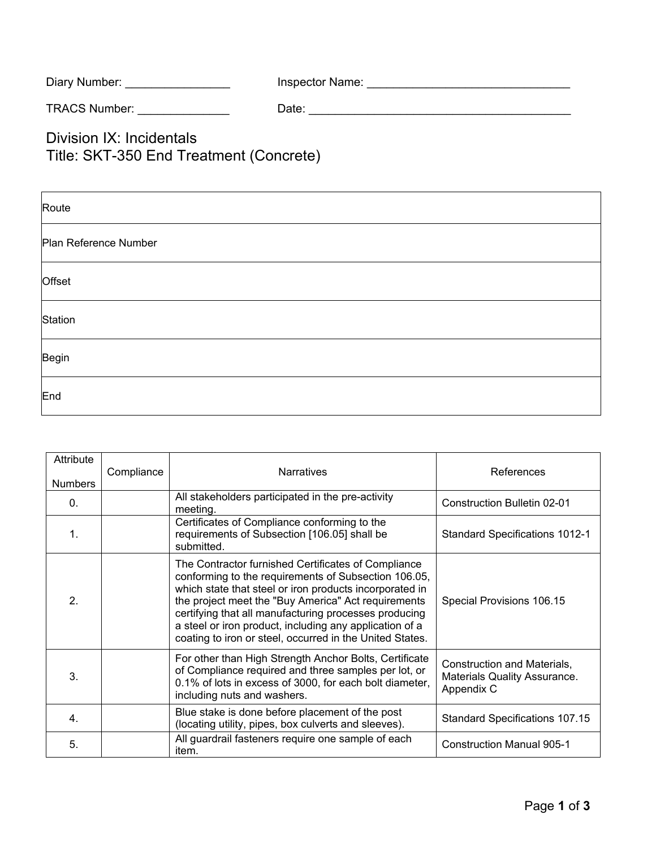| Diary Number: | Inspector Name: |
|---------------|-----------------|
|---------------|-----------------|

TRACS Number: \_\_\_\_\_\_\_\_\_\_\_\_\_\_ Date: \_\_\_\_\_\_\_\_\_\_\_\_\_\_\_\_\_\_\_\_\_\_\_\_\_\_\_\_\_\_\_\_\_\_\_\_\_\_\_\_

Division IX: Incidentals Title: SKT-350 End Treatment (Concrete)

| Route                 |
|-----------------------|
| Plan Reference Number |
| Offset                |
| Station               |
| Begin                 |
| End                   |

| Attribute        | Compliance | <b>Narratives</b>                                                                                                                                                                                                                                                                                                                                                                                             | References                                                                |
|------------------|------------|---------------------------------------------------------------------------------------------------------------------------------------------------------------------------------------------------------------------------------------------------------------------------------------------------------------------------------------------------------------------------------------------------------------|---------------------------------------------------------------------------|
| <b>Numbers</b>   |            |                                                                                                                                                                                                                                                                                                                                                                                                               |                                                                           |
| $\mathbf{0}$ .   |            | All stakeholders participated in the pre-activity<br>meeting.                                                                                                                                                                                                                                                                                                                                                 | Construction Bulletin 02-01                                               |
| $\mathbf{1}$ .   |            | Certificates of Compliance conforming to the<br>requirements of Subsection [106.05] shall be<br>submitted.                                                                                                                                                                                                                                                                                                    | <b>Standard Specifications 1012-1</b>                                     |
| $\mathbf{2}$     |            | The Contractor furnished Certificates of Compliance<br>conforming to the requirements of Subsection 106.05,<br>which state that steel or iron products incorporated in<br>the project meet the "Buy America" Act requirements<br>certifying that all manufacturing processes producing<br>a steel or iron product, including any application of a<br>coating to iron or steel, occurred in the United States. | Special Provisions 106.15                                                 |
| 3.               |            | For other than High Strength Anchor Bolts, Certificate<br>of Compliance required and three samples per lot, or<br>0.1% of lots in excess of 3000, for each bolt diameter,<br>including nuts and washers.                                                                                                                                                                                                      | Construction and Materials,<br>Materials Quality Assurance.<br>Appendix C |
| $\overline{4}$ . |            | Blue stake is done before placement of the post<br>(locating utility, pipes, box culverts and sleeves).                                                                                                                                                                                                                                                                                                       | <b>Standard Specifications 107.15</b>                                     |
| 5.               |            | All guardrail fasteners require one sample of each<br>item.                                                                                                                                                                                                                                                                                                                                                   | <b>Construction Manual 905-1</b>                                          |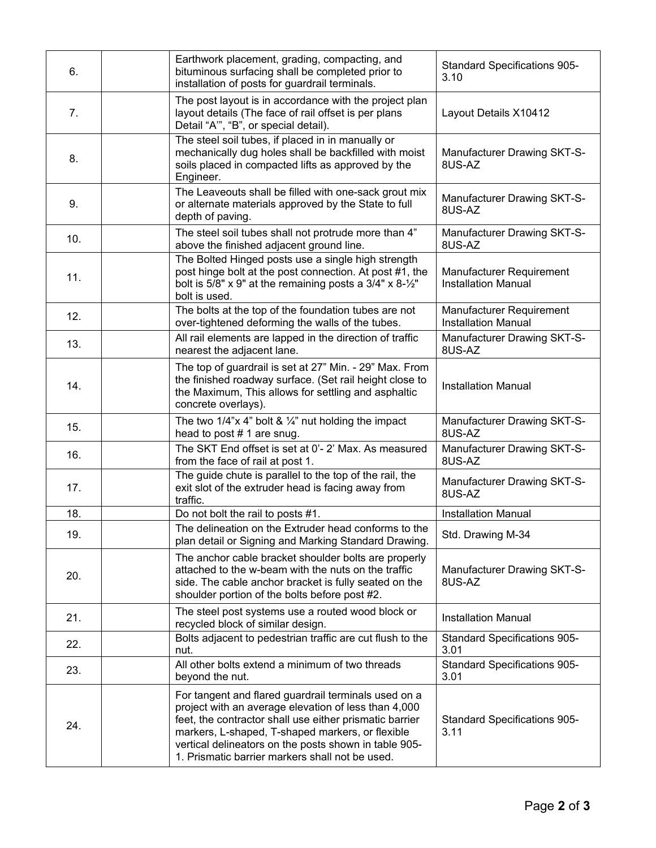| 6.  | Earthwork placement, grading, compacting, and<br>bituminous surfacing shall be completed prior to<br>installation of posts for guardrail terminals.                                                                                                                                                                                     | <b>Standard Specifications 905-</b><br>3.10            |
|-----|-----------------------------------------------------------------------------------------------------------------------------------------------------------------------------------------------------------------------------------------------------------------------------------------------------------------------------------------|--------------------------------------------------------|
| 7.  | The post layout is in accordance with the project plan<br>layout details (The face of rail offset is per plans<br>Detail "A", "B", or special detail).                                                                                                                                                                                  | Layout Details X10412                                  |
| 8.  | The steel soil tubes, if placed in in manually or<br>mechanically dug holes shall be backfilled with moist<br>soils placed in compacted lifts as approved by the<br>Engineer.                                                                                                                                                           | Manufacturer Drawing SKT-S-<br>8US-AZ                  |
| 9.  | The Leaveouts shall be filled with one-sack grout mix<br>or alternate materials approved by the State to full<br>depth of paving.                                                                                                                                                                                                       | Manufacturer Drawing SKT-S-<br>8US-AZ                  |
| 10. | The steel soil tubes shall not protrude more than 4"<br>above the finished adjacent ground line.                                                                                                                                                                                                                                        | Manufacturer Drawing SKT-S-<br>8US-AZ                  |
| 11. | The Bolted Hinged posts use a single high strength<br>post hinge bolt at the post connection. At post #1, the<br>bolt is $5/8"$ x 9" at the remaining posts a $3/4"$ x $8-\frac{1}{2}$ "<br>bolt is used.                                                                                                                               | Manufacturer Requirement<br><b>Installation Manual</b> |
| 12. | The bolts at the top of the foundation tubes are not<br>over-tightened deforming the walls of the tubes.                                                                                                                                                                                                                                | Manufacturer Requirement<br><b>Installation Manual</b> |
| 13. | All rail elements are lapped in the direction of traffic<br>nearest the adjacent lane.                                                                                                                                                                                                                                                  | <b>Manufacturer Drawing SKT-S-</b><br>8US-AZ           |
| 14. | The top of guardrail is set at 27" Min. - 29" Max. From<br>the finished roadway surface. (Set rail height close to<br>the Maximum, This allows for settling and asphaltic<br>concrete overlays).                                                                                                                                        | <b>Installation Manual</b>                             |
| 15. | The two 1/4"x 4" bolt & $\frac{1}{4}$ " nut holding the impact<br>head to post #1 are snug.                                                                                                                                                                                                                                             | Manufacturer Drawing SKT-S-<br>8US-AZ                  |
| 16. | The SKT End offset is set at 0'- 2' Max. As measured<br>from the face of rail at post 1.                                                                                                                                                                                                                                                | Manufacturer Drawing SKT-S-<br>8US-AZ                  |
| 17. | The guide chute is parallel to the top of the rail, the<br>exit slot of the extruder head is facing away from<br>traffic.                                                                                                                                                                                                               | Manufacturer Drawing SKT-S-<br>8US-AZ                  |
| 18. | Do not bolt the rail to posts #1.                                                                                                                                                                                                                                                                                                       | <b>Installation Manual</b>                             |
| 19. | The delineation on the Extruder head conforms to the<br>plan detail or Signing and Marking Standard Drawing.                                                                                                                                                                                                                            | Std. Drawing M-34                                      |
| 20. | The anchor cable bracket shoulder bolts are properly<br>attached to the w-beam with the nuts on the traffic<br>side. The cable anchor bracket is fully seated on the<br>shoulder portion of the bolts before post #2.                                                                                                                   | Manufacturer Drawing SKT-S-<br>8US-AZ                  |
| 21. | The steel post systems use a routed wood block or<br>recycled block of similar design.                                                                                                                                                                                                                                                  | <b>Installation Manual</b>                             |
| 22. | Bolts adjacent to pedestrian traffic are cut flush to the<br>nut.                                                                                                                                                                                                                                                                       | <b>Standard Specifications 905-</b><br>3.01            |
| 23. | All other bolts extend a minimum of two threads<br>beyond the nut.                                                                                                                                                                                                                                                                      | <b>Standard Specifications 905-</b><br>3.01            |
| 24. | For tangent and flared guardrail terminals used on a<br>project with an average elevation of less than 4,000<br>feet, the contractor shall use either prismatic barrier<br>markers, L-shaped, T-shaped markers, or flexible<br>vertical delineators on the posts shown in table 905-<br>1. Prismatic barrier markers shall not be used. | <b>Standard Specifications 905-</b><br>3.11            |